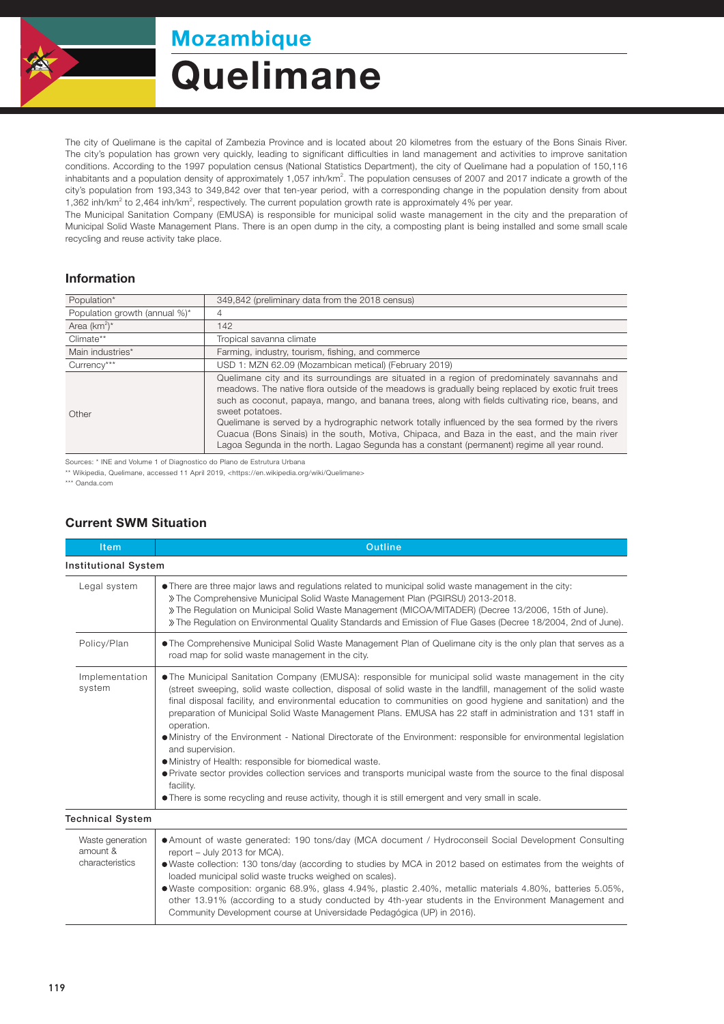

## **Quelimane** Mozambique

The city of Quelimane is the capital of Zambezia Province and is located about 20 kilometres from the estuary of the Bons Sinais River. The city's population has grown very quickly, leading to significant difficulties in land management and activities to improve sanitation conditions. According to the 1997 population census (National Statistics Department), the city of Quelimane had a population of 150,116 inhabitants and a population density of approximately 1,057 inh/km<sup>2</sup>. The population censuses of 2007 and 2017 indicate a growth of the city's population from 193,343 to 349,842 over that ten-year period, with a corresponding change in the population density from about 1,362 inh/km<sup>2</sup> to 2,464 inh/km<sup>2</sup>, respectively. The current population growth rate is approximately 4% per year.

The Municipal Sanitation Company (EMUSA) is responsible for municipal solid waste management in the city and the preparation of Municipal Solid Waste Management Plans. There is an open dump in the city, a composting plant is being installed and some small scale recycling and reuse activity take place.

## Information

| Population*                   | 349,842 (preliminary data from the 2018 census)                                                                                                                                                                                                                                                                                                                                                                                                                                                                                                                                                                             |  |  |
|-------------------------------|-----------------------------------------------------------------------------------------------------------------------------------------------------------------------------------------------------------------------------------------------------------------------------------------------------------------------------------------------------------------------------------------------------------------------------------------------------------------------------------------------------------------------------------------------------------------------------------------------------------------------------|--|--|
| Population growth (annual %)* | 4                                                                                                                                                                                                                                                                                                                                                                                                                                                                                                                                                                                                                           |  |  |
| Area $(km^2)^*$               | 142                                                                                                                                                                                                                                                                                                                                                                                                                                                                                                                                                                                                                         |  |  |
| Climate**                     | Tropical savanna climate                                                                                                                                                                                                                                                                                                                                                                                                                                                                                                                                                                                                    |  |  |
| Main industries*              | Farming, industry, tourism, fishing, and commerce                                                                                                                                                                                                                                                                                                                                                                                                                                                                                                                                                                           |  |  |
| Currency***                   | USD 1: MZN 62.09 (Mozambican metical) (February 2019)                                                                                                                                                                                                                                                                                                                                                                                                                                                                                                                                                                       |  |  |
| Other                         | Quelimane city and its surroundings are situated in a region of predominately savannahs and<br>meadows. The native flora outside of the meadows is gradually being replaced by exotic fruit trees<br>such as coconut, papaya, mango, and banana trees, along with fields cultivating rice, beans, and<br>sweet potatoes.<br>Quelimane is served by a hydrographic network totally influenced by the sea formed by the rivers<br>Cuacua (Bons Sinais) in the south, Motiva, Chipaca, and Baza in the east, and the main river<br>Lagoa Segunda in the north. Lagao Segunda has a constant (permanent) regime all year round. |  |  |

Sources: \* INE and Volume 1 of Diagnostico do Plano de Estrutura Urbana

\*\* Wikipedia, Quelimane, accessed 11 April 2019, <https://en.wikipedia.org/wiki/Quelimane>

\*\*\* Oanda.com

## Current SWM Situation

| <b>Item</b>                                     | Outline                                                                                                                                                                                                                                                                                                                                                                                                                                                                                                                                                                                                                                                                                                                                                                                                                                                                                                                 |  |  |  |
|-------------------------------------------------|-------------------------------------------------------------------------------------------------------------------------------------------------------------------------------------------------------------------------------------------------------------------------------------------------------------------------------------------------------------------------------------------------------------------------------------------------------------------------------------------------------------------------------------------------------------------------------------------------------------------------------------------------------------------------------------------------------------------------------------------------------------------------------------------------------------------------------------------------------------------------------------------------------------------------|--|--|--|
| <b>Institutional System</b>                     |                                                                                                                                                                                                                                                                                                                                                                                                                                                                                                                                                                                                                                                                                                                                                                                                                                                                                                                         |  |  |  |
| Legal system                                    | • There are three major laws and regulations related to municipal solid waste management in the city:<br>» The Comprehensive Municipal Solid Waste Management Plan (PGIRSU) 2013-2018.<br>» The Requlation on Municipal Solid Waste Management (MICOA/MITADER) (Decree 13/2006, 15th of June).<br>» The Regulation on Environmental Quality Standards and Emission of Flue Gases (Decree 18/2004, 2nd of June).                                                                                                                                                                                                                                                                                                                                                                                                                                                                                                         |  |  |  |
| Policy/Plan                                     | • The Comprehensive Municipal Solid Waste Management Plan of Quelimane city is the only plan that serves as a<br>road map for solid waste management in the city.                                                                                                                                                                                                                                                                                                                                                                                                                                                                                                                                                                                                                                                                                                                                                       |  |  |  |
| Implementation<br>system                        | • The Municipal Sanitation Company (EMUSA): responsible for municipal solid waste management in the city<br>(street sweeping, solid waste collection, disposal of solid waste in the landfill, management of the solid waste<br>final disposal facility, and environmental education to communities on good hygiene and sanitation) and the<br>preparation of Municipal Solid Waste Management Plans. EMUSA has 22 staff in administration and 131 staff in<br>operation.<br>• Ministry of the Environment - National Directorate of the Environment: responsible for environmental legislation<br>and supervision.<br>• Ministry of Health: responsible for biomedical waste.<br>• Private sector provides collection services and transports municipal waste from the source to the final disposal<br>facility.<br>• There is some recycling and reuse activity, though it is still emergent and very small in scale. |  |  |  |
| <b>Technical System</b>                         |                                                                                                                                                                                                                                                                                                                                                                                                                                                                                                                                                                                                                                                                                                                                                                                                                                                                                                                         |  |  |  |
| Waste generation<br>amount &<br>characteristics | • Amount of waste generated: 190 tons/day (MCA document / Hydroconseil Social Development Consulting<br>report - July 2013 for MCA).<br>. Waste collection: 130 tons/day (according to studies by MCA in 2012 based on estimates from the weights of<br>loaded municipal solid waste trucks weighed on scales).<br>• Waste composition: organic 68.9%, glass 4.94%, plastic 2.40%, metallic materials 4.80%, batteries 5.05%,<br>other 13.91% (according to a study conducted by 4th-year students in the Environment Management and<br>Community Development course at Universidade Pedagógica (UP) in 2016).                                                                                                                                                                                                                                                                                                          |  |  |  |